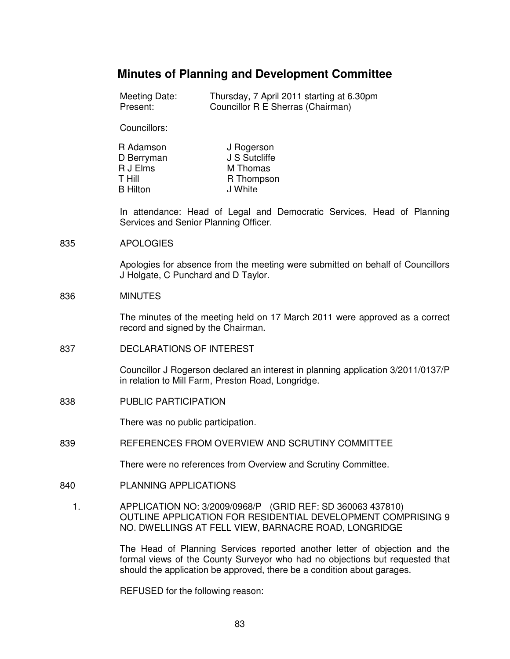# **Minutes of Planning and Development Committee**

| Meeting Date: | Thursday, 7 April 2011 starting at 6.30pm |
|---------------|-------------------------------------------|
| Present:      | Councillor R E Sherras (Chairman)         |

Councillors:

| R Adamson       | J Rogerson    |
|-----------------|---------------|
| D Berryman      | J S Sutcliffe |
| R J Elms        | M Thomas      |
| T Hill          | R Thompson    |
| <b>B</b> Hilton | J White       |

In attendance: Head of Legal and Democratic Services, Head of Planning Services and Senior Planning Officer.

#### 835 APOLOGIES

Apologies for absence from the meeting were submitted on behalf of Councillors J Holgate, C Punchard and D Taylor.

#### 836 MINUTES

The minutes of the meeting held on 17 March 2011 were approved as a correct record and signed by the Chairman.

837 DECLARATIONS OF INTEREST

Councillor J Rogerson declared an interest in planning application 3/2011/0137/P in relation to Mill Farm, Preston Road, Longridge.

838 PUBLIC PARTICIPATION

There was no public participation.

839 REFERENCES FROM OVERVIEW AND SCRUTINY COMMITTEE

There were no references from Overview and Scrutiny Committee.

- 840 PLANNING APPLICATIONS
	- 1. APPLICATION NO: 3/2009/0968/P (GRID REF: SD 360063 437810) OUTLINE APPLICATION FOR RESIDENTIAL DEVELOPMENT COMPRISING 9 NO. DWELLINGS AT FELL VIEW, BARNACRE ROAD, LONGRIDGE

The Head of Planning Services reported another letter of objection and the formal views of the County Surveyor who had no objections but requested that should the application be approved, there be a condition about garages.

REFUSED for the following reason: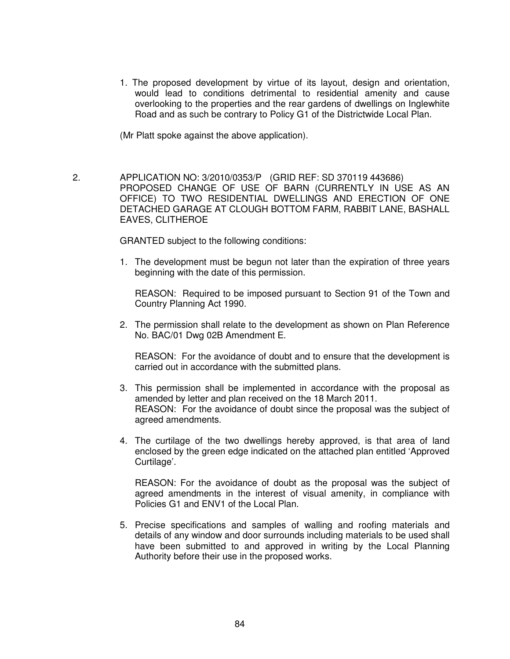1. The proposed development by virtue of its layout, design and orientation, would lead to conditions detrimental to residential amenity and cause overlooking to the properties and the rear gardens of dwellings on Inglewhite Road and as such be contrary to Policy G1 of the Districtwide Local Plan.

(Mr Platt spoke against the above application).

 2. APPLICATION NO: 3/2010/0353/P (GRID REF: SD 370119 443686) PROPOSED CHANGE OF USE OF BARN (CURRENTLY IN USE AS AN OFFICE) TO TWO RESIDENTIAL DWELLINGS AND ERECTION OF ONE DETACHED GARAGE AT CLOUGH BOTTOM FARM, RABBIT LANE, BASHALL EAVES, CLITHEROE

GRANTED subject to the following conditions:

1. The development must be begun not later than the expiration of three years beginning with the date of this permission.

 REASON: Required to be imposed pursuant to Section 91 of the Town and Country Planning Act 1990.

2. The permission shall relate to the development as shown on Plan Reference No. BAC/01 Dwg 02B Amendment E.

 REASON: For the avoidance of doubt and to ensure that the development is carried out in accordance with the submitted plans.

- 3. This permission shall be implemented in accordance with the proposal as amended by letter and plan received on the 18 March 2011. REASON: For the avoidance of doubt since the proposal was the subject of agreed amendments.
- 4. The curtilage of the two dwellings hereby approved, is that area of land enclosed by the green edge indicated on the attached plan entitled 'Approved Curtilage'.

 REASON: For the avoidance of doubt as the proposal was the subject of agreed amendments in the interest of visual amenity, in compliance with Policies G1 and ENV1 of the Local Plan.

5. Precise specifications and samples of walling and roofing materials and details of any window and door surrounds including materials to be used shall have been submitted to and approved in writing by the Local Planning Authority before their use in the proposed works.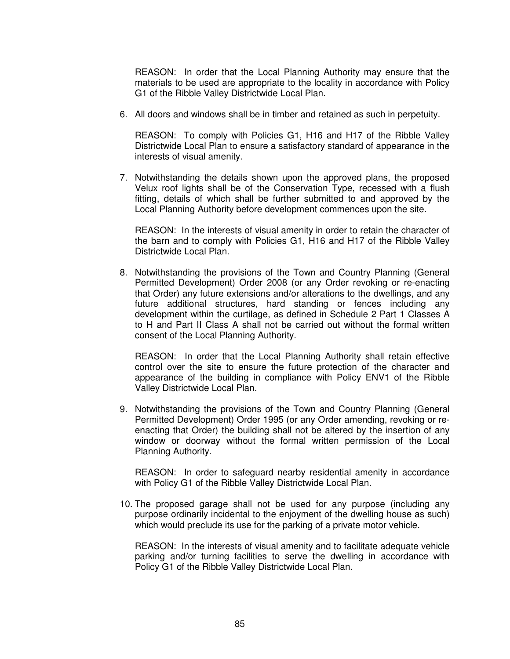REASON: In order that the Local Planning Authority may ensure that the materials to be used are appropriate to the locality in accordance with Policy G1 of the Ribble Valley Districtwide Local Plan.

6. All doors and windows shall be in timber and retained as such in perpetuity.

 REASON: To comply with Policies G1, H16 and H17 of the Ribble Valley Districtwide Local Plan to ensure a satisfactory standard of appearance in the interests of visual amenity.

7. Notwithstanding the details shown upon the approved plans, the proposed Velux roof lights shall be of the Conservation Type, recessed with a flush fitting, details of which shall be further submitted to and approved by the Local Planning Authority before development commences upon the site.

 REASON: In the interests of visual amenity in order to retain the character of the barn and to comply with Policies G1, H16 and H17 of the Ribble Valley Districtwide Local Plan.

8. Notwithstanding the provisions of the Town and Country Planning (General Permitted Development) Order 2008 (or any Order revoking or re-enacting that Order) any future extensions and/or alterations to the dwellings, and any future additional structures, hard standing or fences including any development within the curtilage, as defined in Schedule 2 Part 1 Classes A to H and Part II Class A shall not be carried out without the formal written consent of the Local Planning Authority.

 REASON: In order that the Local Planning Authority shall retain effective control over the site to ensure the future protection of the character and appearance of the building in compliance with Policy ENV1 of the Ribble Valley Districtwide Local Plan.

9. Notwithstanding the provisions of the Town and Country Planning (General Permitted Development) Order 1995 (or any Order amending, revoking or reenacting that Order) the building shall not be altered by the insertion of any window or doorway without the formal written permission of the Local Planning Authority.

 REASON: In order to safeguard nearby residential amenity in accordance with Policy G1 of the Ribble Valley Districtwide Local Plan.

10. The proposed garage shall not be used for any purpose (including any purpose ordinarily incidental to the enjoyment of the dwelling house as such) which would preclude its use for the parking of a private motor vehicle.

 REASON: In the interests of visual amenity and to facilitate adequate vehicle parking and/or turning facilities to serve the dwelling in accordance with Policy G1 of the Ribble Valley Districtwide Local Plan.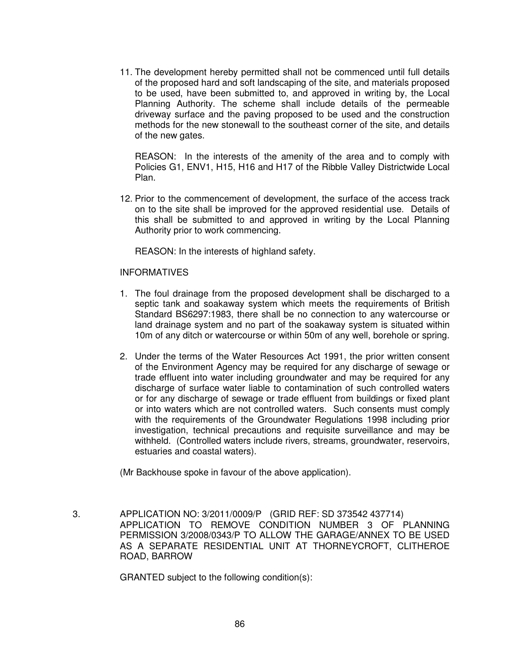11. The development hereby permitted shall not be commenced until full details of the proposed hard and soft landscaping of the site, and materials proposed to be used, have been submitted to, and approved in writing by, the Local Planning Authority. The scheme shall include details of the permeable driveway surface and the paving proposed to be used and the construction methods for the new stonewall to the southeast corner of the site, and details of the new gates.

 REASON: In the interests of the amenity of the area and to comply with Policies G1, ENV1, H15, H16 and H17 of the Ribble Valley Districtwide Local Plan.

12. Prior to the commencement of development, the surface of the access track on to the site shall be improved for the approved residential use. Details of this shall be submitted to and approved in writing by the Local Planning Authority prior to work commencing.

REASON: In the interests of highland safety.

### INFORMATIVES

- 1. The foul drainage from the proposed development shall be discharged to a septic tank and soakaway system which meets the requirements of British Standard BS6297:1983, there shall be no connection to any watercourse or land drainage system and no part of the soakaway system is situated within 10m of any ditch or watercourse or within 50m of any well, borehole or spring.
- 2. Under the terms of the Water Resources Act 1991, the prior written consent of the Environment Agency may be required for any discharge of sewage or trade effluent into water including groundwater and may be required for any discharge of surface water liable to contamination of such controlled waters or for any discharge of sewage or trade effluent from buildings or fixed plant or into waters which are not controlled waters. Such consents must comply with the requirements of the Groundwater Regulations 1998 including prior investigation, technical precautions and requisite surveillance and may be withheld. (Controlled waters include rivers, streams, groundwater, reservoirs, estuaries and coastal waters).

(Mr Backhouse spoke in favour of the above application).

 3. APPLICATION NO: 3/2011/0009/P (GRID REF: SD 373542 437714) APPLICATION TO REMOVE CONDITION NUMBER 3 OF PLANNING PERMISSION 3/2008/0343/P TO ALLOW THE GARAGE/ANNEX TO BE USED AS A SEPARATE RESIDENTIAL UNIT AT THORNEYCROFT, CLITHEROE ROAD, BARROW

GRANTED subject to the following condition(s):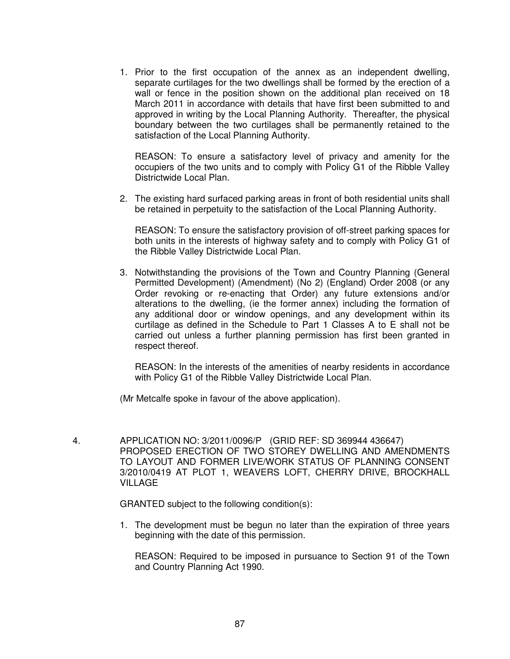1. Prior to the first occupation of the annex as an independent dwelling, separate curtilages for the two dwellings shall be formed by the erection of a wall or fence in the position shown on the additional plan received on 18 March 2011 in accordance with details that have first been submitted to and approved in writing by the Local Planning Authority. Thereafter, the physical boundary between the two curtilages shall be permanently retained to the satisfaction of the Local Planning Authority.

 REASON: To ensure a satisfactory level of privacy and amenity for the occupiers of the two units and to comply with Policy G1 of the Ribble Valley Districtwide Local Plan.

2. The existing hard surfaced parking areas in front of both residential units shall be retained in perpetuity to the satisfaction of the Local Planning Authority.

 REASON: To ensure the satisfactory provision of off-street parking spaces for both units in the interests of highway safety and to comply with Policy G1 of the Ribble Valley Districtwide Local Plan.

3. Notwithstanding the provisions of the Town and Country Planning (General Permitted Development) (Amendment) (No 2) (England) Order 2008 (or any Order revoking or re-enacting that Order) any future extensions and/or alterations to the dwelling, (ie the former annex) including the formation of any additional door or window openings, and any development within its curtilage as defined in the Schedule to Part 1 Classes A to E shall not be carried out unless a further planning permission has first been granted in respect thereof.

 REASON: In the interests of the amenities of nearby residents in accordance with Policy G1 of the Ribble Valley Districtwide Local Plan.

(Mr Metcalfe spoke in favour of the above application).

 4. APPLICATION NO: 3/2011/0096/P (GRID REF: SD 369944 436647) PROPOSED ERECTION OF TWO STOREY DWELLING AND AMENDMENTS TO LAYOUT AND FORMER LIVE/WORK STATUS OF PLANNING CONSENT 3/2010/0419 AT PLOT 1, WEAVERS LOFT, CHERRY DRIVE, BROCKHALL VILLAGE

GRANTED subject to the following condition(s):

1. The development must be begun no later than the expiration of three years beginning with the date of this permission.

 REASON: Required to be imposed in pursuance to Section 91 of the Town and Country Planning Act 1990.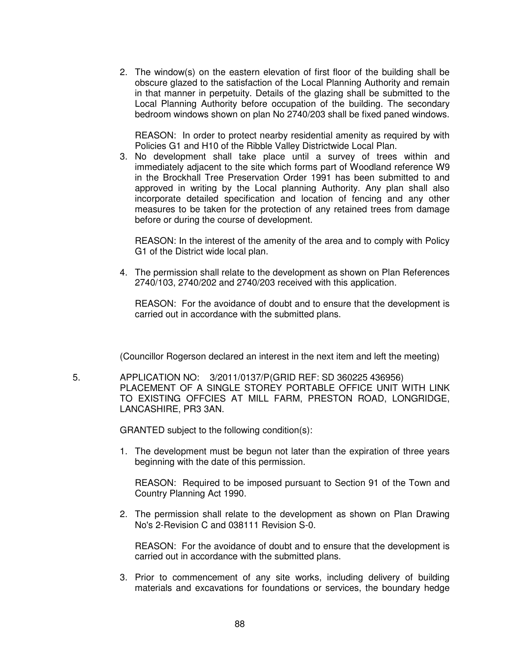2. The window(s) on the eastern elevation of first floor of the building shall be obscure glazed to the satisfaction of the Local Planning Authority and remain in that manner in perpetuity. Details of the glazing shall be submitted to the Local Planning Authority before occupation of the building. The secondary bedroom windows shown on plan No 2740/203 shall be fixed paned windows.

 REASON: In order to protect nearby residential amenity as required by with Policies G1 and H10 of the Ribble Valley Districtwide Local Plan.

3. No development shall take place until a survey of trees within and immediately adjacent to the site which forms part of Woodland reference W9 in the Brockhall Tree Preservation Order 1991 has been submitted to and approved in writing by the Local planning Authority. Any plan shall also incorporate detailed specification and location of fencing and any other measures to be taken for the protection of any retained trees from damage before or during the course of development.

 REASON: In the interest of the amenity of the area and to comply with Policy G1 of the District wide local plan.

4. The permission shall relate to the development as shown on Plan References 2740/103, 2740/202 and 2740/203 received with this application.

 REASON: For the avoidance of doubt and to ensure that the development is carried out in accordance with the submitted plans.

(Councillor Rogerson declared an interest in the next item and left the meeting)

 5. APPLICATION NO: 3/2011/0137/P (GRID REF: SD 360225 436956) PLACEMENT OF A SINGLE STOREY PORTABLE OFFICE UNIT WITH LINK TO EXISTING OFFCIES AT MILL FARM, PRESTON ROAD, LONGRIDGE, LANCASHIRE, PR3 3AN.

GRANTED subject to the following condition(s):

1. The development must be begun not later than the expiration of three years beginning with the date of this permission.

 REASON: Required to be imposed pursuant to Section 91 of the Town and Country Planning Act 1990.

2. The permission shall relate to the development as shown on Plan Drawing No's 2-Revision C and 038111 Revision S-0.

 REASON: For the avoidance of doubt and to ensure that the development is carried out in accordance with the submitted plans.

3. Prior to commencement of any site works, including delivery of building materials and excavations for foundations or services, the boundary hedge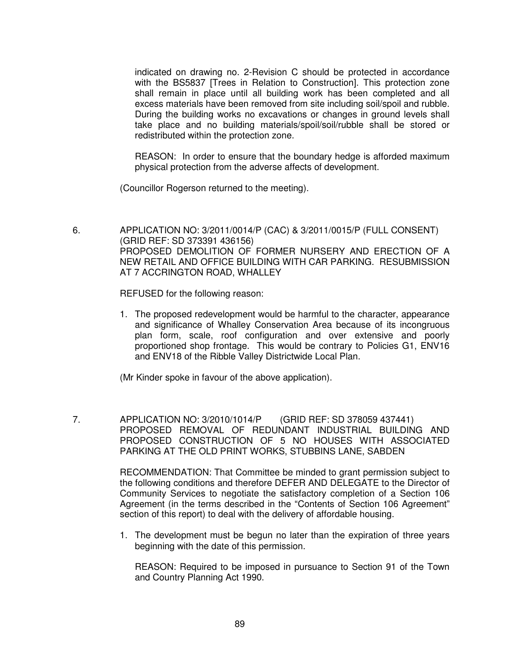indicated on drawing no. 2-Revision C should be protected in accordance with the BS5837 [Trees in Relation to Construction]. This protection zone shall remain in place until all building work has been completed and all excess materials have been removed from site including soil/spoil and rubble. During the building works no excavations or changes in ground levels shall take place and no building materials/spoil/soil/rubble shall be stored or redistributed within the protection zone.

 REASON: In order to ensure that the boundary hedge is afforded maximum physical protection from the adverse affects of development.

(Councillor Rogerson returned to the meeting).

 6. APPLICATION NO: 3/2011/0014/P (CAC) & 3/2011/0015/P (FULL CONSENT) (GRID REF: SD 373391 436156) PROPOSED DEMOLITION OF FORMER NURSERY AND ERECTION OF A NEW RETAIL AND OFFICE BUILDING WITH CAR PARKING. RESUBMISSION AT 7 ACCRINGTON ROAD, WHALLEY

REFUSED for the following reason:

1. The proposed redevelopment would be harmful to the character, appearance and significance of Whalley Conservation Area because of its incongruous plan form, scale, roof configuration and over extensive and poorly proportioned shop frontage. This would be contrary to Policies G1, ENV16 and ENV18 of the Ribble Valley Districtwide Local Plan.

(Mr Kinder spoke in favour of the above application).

 7. APPLICATION NO: 3/2010/1014/P (GRID REF: SD 378059 437441) PROPOSED REMOVAL OF REDUNDANT INDUSTRIAL BUILDING AND PROPOSED CONSTRUCTION OF 5 NO HOUSES WITH ASSOCIATED PARKING AT THE OLD PRINT WORKS, STUBBINS LANE, SABDEN

> RECOMMENDATION: That Committee be minded to grant permission subject to the following conditions and therefore DEFER AND DELEGATE to the Director of Community Services to negotiate the satisfactory completion of a Section 106 Agreement (in the terms described in the "Contents of Section 106 Agreement" section of this report) to deal with the delivery of affordable housing.

> 1. The development must be begun no later than the expiration of three years beginning with the date of this permission.

 REASON: Required to be imposed in pursuance to Section 91 of the Town and Country Planning Act 1990.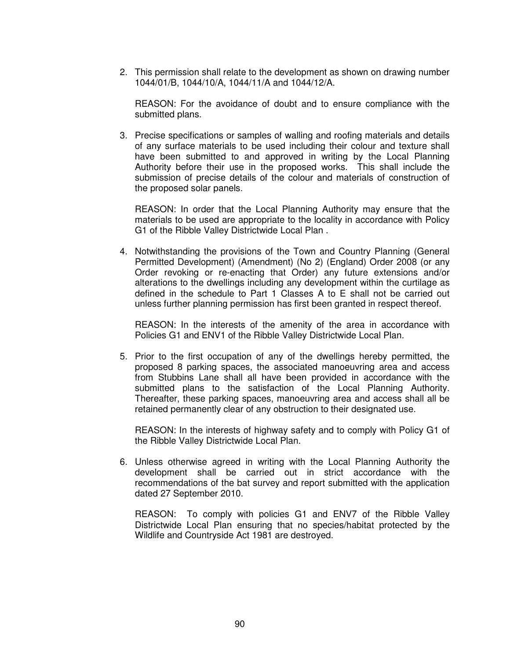2. This permission shall relate to the development as shown on drawing number 1044/01/B, 1044/10/A, 1044/11/A and 1044/12/A.

 REASON: For the avoidance of doubt and to ensure compliance with the submitted plans.

3. Precise specifications or samples of walling and roofing materials and details of any surface materials to be used including their colour and texture shall have been submitted to and approved in writing by the Local Planning Authority before their use in the proposed works. This shall include the submission of precise details of the colour and materials of construction of the proposed solar panels.

 REASON: In order that the Local Planning Authority may ensure that the materials to be used are appropriate to the locality in accordance with Policy G1 of the Ribble Valley Districtwide Local Plan .

4. Notwithstanding the provisions of the Town and Country Planning (General Permitted Development) (Amendment) (No 2) (England) Order 2008 (or any Order revoking or re-enacting that Order) any future extensions and/or alterations to the dwellings including any development within the curtilage as defined in the schedule to Part 1 Classes A to E shall not be carried out unless further planning permission has first been granted in respect thereof.

 REASON: In the interests of the amenity of the area in accordance with Policies G1 and ENV1 of the Ribble Valley Districtwide Local Plan.

5. Prior to the first occupation of any of the dwellings hereby permitted, the proposed 8 parking spaces, the associated manoeuvring area and access from Stubbins Lane shall all have been provided in accordance with the submitted plans to the satisfaction of the Local Planning Authority. Thereafter, these parking spaces, manoeuvring area and access shall all be retained permanently clear of any obstruction to their designated use.

 REASON: In the interests of highway safety and to comply with Policy G1 of the Ribble Valley Districtwide Local Plan.

6. Unless otherwise agreed in writing with the Local Planning Authority the development shall be carried out in strict accordance with the recommendations of the bat survey and report submitted with the application dated 27 September 2010.

 REASON: To comply with policies G1 and ENV7 of the Ribble Valley Districtwide Local Plan ensuring that no species/habitat protected by the Wildlife and Countryside Act 1981 are destroyed.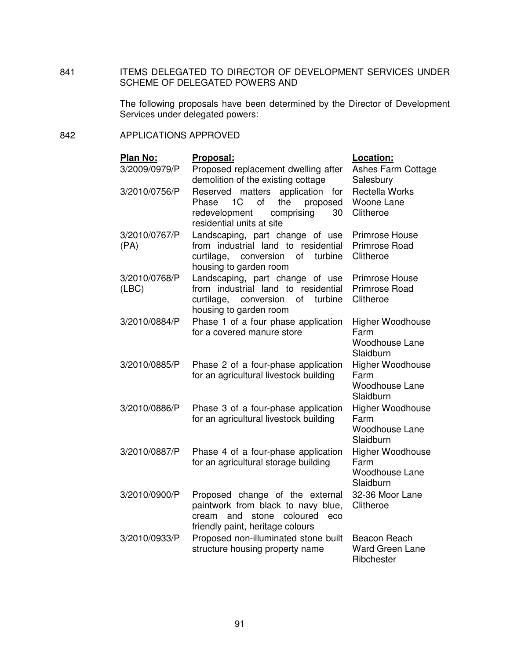841 ITEMS DELEGATED TO DIRECTOR OF DEVELOPMENT SERVICES UNDER SCHEME OF DELEGATED POWERS AND

> The following proposals have been determined by the Director of Development Services under delegated powers:

842 APPLICATIONS APPROVED

| Plan No:               | Proposal:                                                                                                                                              | Location:                                                             |
|------------------------|--------------------------------------------------------------------------------------------------------------------------------------------------------|-----------------------------------------------------------------------|
| 3/2009/0979/P          | Proposed replacement dwelling after<br>demolition of the existing cottage                                                                              | Ashes Farm Cottage<br>Salesbury                                       |
| 3/2010/0756/P          | Reserved matters application for<br>1 <sup>C</sup><br>Phase<br>of<br>the<br>proposed<br>redevelopment<br>comprising<br>30<br>residential units at site | <b>Rectella Works</b><br>Woone Lane<br>Clitheroe                      |
| 3/2010/0767/P<br>(PA)  | Landscaping, part change of use<br>from industrial land to residential<br>curtilage, conversion<br>of<br>turbine<br>housing to garden room             | Primrose House<br>Primrose Road<br>Clitheroe                          |
| 3/2010/0768/P<br>(ABC) | Landscaping, part change of use<br>from industrial land to residential<br>curtilage, conversion<br>of turbine<br>housing to garden room                | Primrose House<br>Primrose Road<br>Clitheroe                          |
| 3/2010/0884/P          | Phase 1 of a four phase application<br>for a covered manure store                                                                                      | Higher Woodhouse<br>Farm<br><b>Woodhouse Lane</b><br>Slaidburn        |
| 3/2010/0885/P          | Phase 2 of a four-phase application<br>for an agricultural livestock building                                                                          | <b>Higher Woodhouse</b><br>Farm<br><b>Woodhouse Lane</b><br>Slaidburn |
| 3/2010/0886/P          | Phase 3 of a four-phase application<br>for an agricultural livestock building                                                                          | Higher Woodhouse<br>Farm<br><b>Woodhouse Lane</b><br>Slaidburn        |
| 3/2010/0887/P          | Phase 4 of a four-phase application<br>for an agricultural storage building                                                                            | Higher Woodhouse<br>Farm<br><b>Woodhouse Lane</b><br>Slaidburn        |
| 3/2010/0900/P          | Proposed change of the external<br>paintwork from black to navy blue,<br>and<br>stone<br>coloured<br>cream<br>eco<br>friendly paint, heritage colours  | 32-36 Moor Lane<br>Clitheroe                                          |
| 3/2010/0933/P          | Proposed non-illuminated stone built<br>structure housing property name                                                                                | Beacon Reach<br>Ward Green Lane<br>Ribchester                         |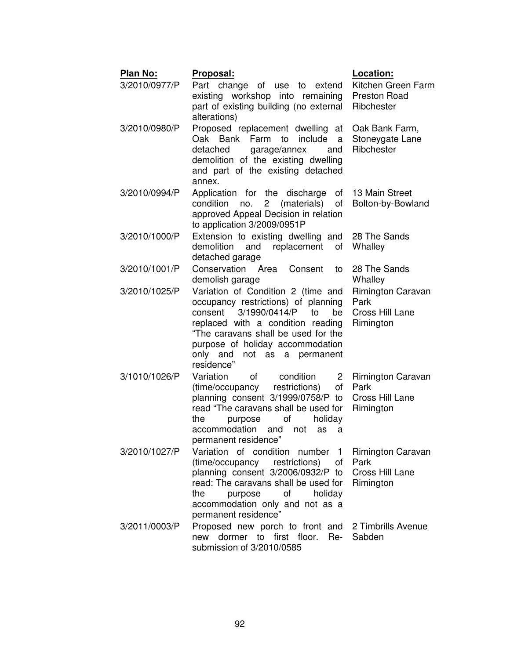| Plan No:      | Proposal:                                                                                                                                                                                                                                                                         | Location:                                                        |
|---------------|-----------------------------------------------------------------------------------------------------------------------------------------------------------------------------------------------------------------------------------------------------------------------------------|------------------------------------------------------------------|
| 3/2010/0977/P | Part change of use to extend<br>existing workshop into remaining<br>part of existing building (no external<br>alterations)                                                                                                                                                        | Kitchen Green Farm<br><b>Preston Road</b><br>Ribchester          |
| 3/2010/0980/P | Proposed replacement dwelling at Oak Bank Farm,<br>Oak Bank<br>Farm to<br>include<br>a<br>detached<br>garage/annex<br>and<br>demolition of the existing dwelling<br>and part of the existing detached<br>annex.                                                                   | Stoneygate Lane<br>Ribchester                                    |
| 3/2010/0994/P | Application for the discharge of 13 Main Street<br>condition no.<br>$2^{\circ}$<br>(materials)<br>of<br>approved Appeal Decision in relation<br>to application 3/2009/0951P                                                                                                       | Bolton-by-Bowland                                                |
| 3/2010/1000/P | Extension to existing dwelling and 28 The Sands<br>demolition and replacement of Whalley<br>detached garage                                                                                                                                                                       |                                                                  |
| 3/2010/1001/P | Conservation Area<br>Consent<br>to<br>demolish garage                                                                                                                                                                                                                             | 28 The Sands<br>Whalley                                          |
| 3/2010/1025/P | Variation of Condition 2 (time and<br>occupancy restrictions) of planning<br>3/1990/0414/P<br>be<br>consent<br>to<br>replaced with a condition reading<br>"The caravans shall be used for the<br>purpose of holiday accommodation<br>only and<br>not as a permanent<br>residence" | Rimington Caravan<br>Park<br>Cross Hill Lane<br>Rimington        |
| 3/1010/1026/P | Variation<br>of<br>condition<br>$\mathbf{2}^{\prime}$<br>(time/occupancy restrictions)<br>of<br>planning consent 3/1999/0758/P to<br>read "The caravans shall be used for<br>the<br>οf<br>holiday<br>purpose<br>accommodation<br>and<br>not<br>as<br>a<br>permanent residence"    | Rimington Caravan<br>Park<br>Cross Hill Lane<br>Rimington        |
| 3/2010/1027/P | Variation of condition number 1<br>(time/occupancy restrictions) of<br>planning consent 3/2006/0932/P to<br>read: The caravans shall be used for<br>the<br>οf<br>purpose<br>holiday<br>accommodation only and not as a<br>permanent residence"                                    | <b>Rimington Caravan</b><br>Park<br>Cross Hill Lane<br>Rimington |
| 3/2011/0003/P | Proposed new porch to front and 2 Timbrills Avenue<br>new dormer to first floor. Re- Sabden<br>submission of 3/2010/0585                                                                                                                                                          |                                                                  |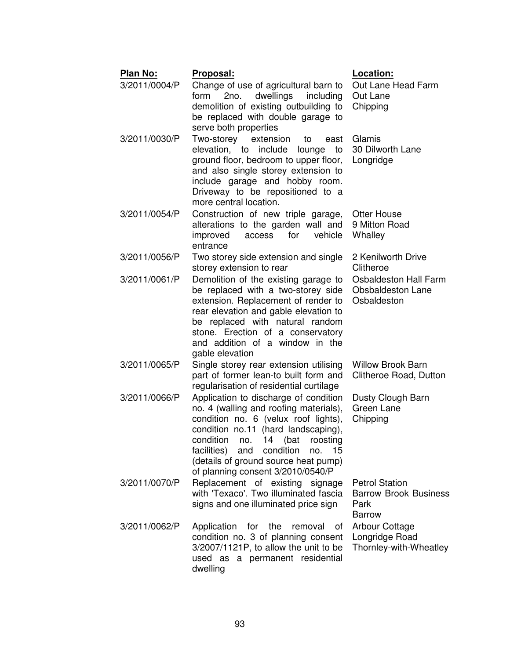| <b>Plan No:</b> | Proposal:                                                                                                                                                                                                                                                                                                         | Location:                                                                      |
|-----------------|-------------------------------------------------------------------------------------------------------------------------------------------------------------------------------------------------------------------------------------------------------------------------------------------------------------------|--------------------------------------------------------------------------------|
| 3/2011/0004/P   | Change of use of agricultural barn to<br>dwellings<br>form<br>2no.<br>including<br>demolition of existing outbuilding to<br>be replaced with double garage to<br>serve both properties                                                                                                                            | Out Lane Head Farm<br>Out Lane<br>Chipping                                     |
| 3/2011/0030/P   | Two-storey<br>extension<br>to<br>east<br>elevation, to<br>include<br>lounge<br>to<br>ground floor, bedroom to upper floor,<br>and also single storey extension to<br>include garage and hobby room.<br>Driveway to be repositioned to a<br>more central location.                                                 | Glamis<br>30 Dilworth Lane<br>Longridge                                        |
| 3/2011/0054/P   | Construction of new triple garage,<br>alterations to the garden wall and<br>vehicle<br>improved<br>for<br>access<br>entrance                                                                                                                                                                                      | <b>Otter House</b><br>9 Mitton Road<br>Whalley                                 |
| 3/2011/0056/P   | Two storey side extension and single<br>storey extension to rear                                                                                                                                                                                                                                                  | 2 Kenilworth Drive<br>Clitheroe                                                |
| 3/2011/0061/P   | Demolition of the existing garage to<br>be replaced with a two-storey side<br>extension. Replacement of render to<br>rear elevation and gable elevation to<br>be replaced with natural random<br>stone. Erection of a conservatory<br>and addition of a window in the<br>gable elevation                          | <b>Osbaldeston Hall Farm</b><br><b>Obsbaldeston Lane</b><br>Osbaldeston        |
| 3/2011/0065/P   | Single storey rear extension utilising<br>part of former lean-to built form and<br>regularisation of residential curtilage                                                                                                                                                                                        | <b>Willow Brook Barn</b><br>Clitheroe Road, Dutton                             |
| 3/2011/0066/P   | Application to discharge of condition<br>no. 4 (walling and roofing materials),<br>condition no. 6 (velux roof lights),<br>condition no.11 (hard landscaping),<br>condition no. 14 (bat roosting<br>facilities) and condition no. 15<br>(details of ground source heat pump)<br>of planning consent 3/2010/0540/P | Dusty Clough Barn<br>Green Lane<br>Chipping                                    |
| 3/2011/0070/P   | Replacement of existing signage<br>with 'Texaco'. Two illuminated fascia<br>signs and one illuminated price sign                                                                                                                                                                                                  | <b>Petrol Station</b><br><b>Barrow Brook Business</b><br>Park<br><b>Barrow</b> |
| 3/2011/0062/P   | Application for the<br>removal of<br>condition no. 3 of planning consent<br>3/2007/1121P, to allow the unit to be<br>used as a permanent residential<br>dwelling                                                                                                                                                  | Arbour Cottage<br>Longridge Road<br>Thornley-with-Wheatley                     |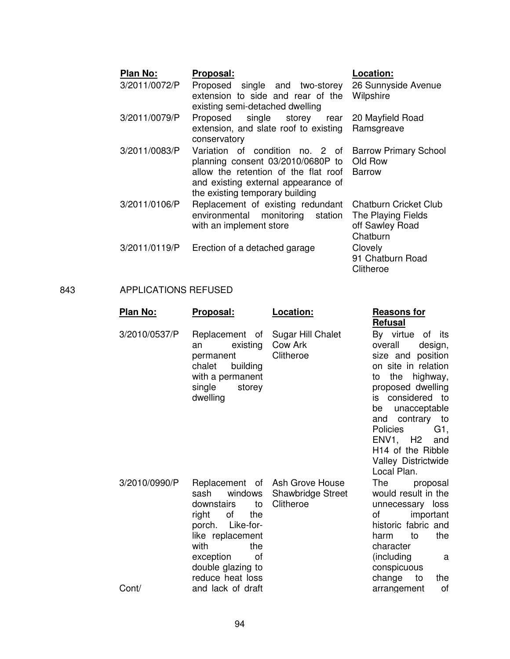| <b>Plan No:</b> | Proposal:                                                                                                                                                                                 | <b>Location:</b>                                                                  |
|-----------------|-------------------------------------------------------------------------------------------------------------------------------------------------------------------------------------------|-----------------------------------------------------------------------------------|
| 3/2011/0072/P   | Proposed single and two-storey<br>extension to side and rear of the<br>existing semi-detached dwelling                                                                                    | 26 Sunnyside Avenue<br>Wilpshire                                                  |
| 3/2011/0079/P   | single<br>Proposed<br>storey<br>rear<br>extension, and slate roof to existing<br>conservatory                                                                                             | 20 Mayfield Road<br>Ramsgreave                                                    |
| 3/2011/0083/P   | Variation of<br>condition no. 2 of<br>planning consent 03/2010/0680P to<br>allow the retention of the flat roof<br>and existing external appearance of<br>the existing temporary building | <b>Barrow Primary School</b><br>Old Row<br>Barrow                                 |
| 3/2011/0106/P   | Replacement of existing redundant<br>environmental monitoring<br>station<br>with an implement store                                                                                       | <b>Chatburn Cricket Club</b><br>The Playing Fields<br>off Sawley Road<br>Chatburn |
| 3/2011/0119/P   | Erection of a detached garage                                                                                                                                                             | Clovely<br>91 Chatburn Road<br>Clitheroe                                          |

# 843 APPLICATIONS REFUSED

| Plan No:      | Proposal:                                                                                                                                                                    | Location:                                                               | <b>Reasons for</b><br><b>Refusal</b>                                                                                                                                                                                                                                                                                       |
|---------------|------------------------------------------------------------------------------------------------------------------------------------------------------------------------------|-------------------------------------------------------------------------|----------------------------------------------------------------------------------------------------------------------------------------------------------------------------------------------------------------------------------------------------------------------------------------------------------------------------|
| 3/2010/0537/P | Replacement of<br>existing<br>an<br>permanent<br>chalet<br>building<br>with a permanent<br>single<br>storey<br>dwelling                                                      | Sugar Hill Chalet<br>Cow Ark<br>Clitheroe                               | By virtue of its<br>overall<br>design,<br>size and position<br>on site in relation<br>the<br>highway,<br>to<br>proposed dwelling<br>is considered to<br>unacceptable<br>be<br>contrary<br>and<br>to<br><b>Policies</b><br>$G1$ ,<br>ENV1, H2<br>and<br>H <sub>14</sub> of the Ribble<br>Valley Districtwide<br>Local Plan. |
| 3/2010/0990/P | windows<br>sash<br>downstairs<br>to<br>right<br>οf<br>the<br>porch. Like-for-<br>like replacement<br>with<br>the<br>exception<br>οf<br>double glazing to<br>reduce heat loss | Replacement of Ash Grove House<br><b>Shawbridge Street</b><br>Clitheroe | The<br>proposal<br>would result in the<br>unnecessary loss<br>οf<br>important<br>historic fabric and<br>the<br>harm<br>to<br>character<br>(including)<br>a<br>conspicuous<br>change<br>to<br>the                                                                                                                           |
| Cont/         | and lack of draft                                                                                                                                                            |                                                                         | of<br>arrangement                                                                                                                                                                                                                                                                                                          |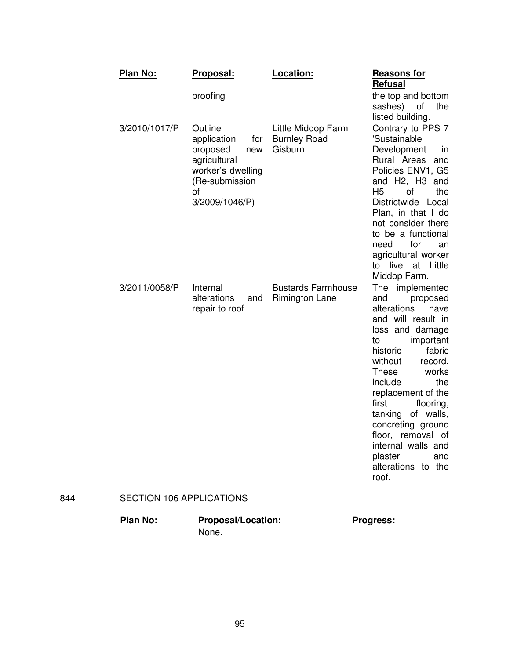|     | Plan No:                        | Proposal:                                                                                                            | Location:                                          | <b>Reasons for</b><br><b>Refusal</b>                                                                                                                                                                                                                                                                                                                                                              |
|-----|---------------------------------|----------------------------------------------------------------------------------------------------------------------|----------------------------------------------------|---------------------------------------------------------------------------------------------------------------------------------------------------------------------------------------------------------------------------------------------------------------------------------------------------------------------------------------------------------------------------------------------------|
|     | 3/2010/1017/P                   | proofing<br>Outline                                                                                                  | Little Middop Farm                                 | the top and bottom<br>sashes)<br>the<br>οf<br>listed building.<br>Contrary to PPS 7                                                                                                                                                                                                                                                                                                               |
|     |                                 | application<br>for<br>proposed<br>new<br>agricultural<br>worker's dwelling<br>(Re-submission<br>οf<br>3/2009/1046/P) | <b>Burnley Road</b><br>Gisburn                     | 'Sustainable<br>Development<br>in.<br>Rural Areas<br>and<br>Policies ENV1, G5<br>and H2, H3 and<br>H <sub>5</sub><br>of<br>the<br>Districtwide Local<br>Plan, in that I do<br>not consider there<br>to be a functional<br>for<br>need<br>an<br>agricultural worker<br>live<br>at Little<br>to<br>Middop Farm.                                                                                     |
|     | 3/2011/0058/P                   | Internal<br>alterations<br>and<br>repair to roof                                                                     | <b>Bustards Farmhouse</b><br><b>Rimington Lane</b> | The implemented<br>and<br>proposed<br>alterations<br>have<br>and will result in<br>loss and damage<br>important<br>to<br>historic<br>fabric<br>without<br>record.<br><b>These</b><br>works<br>include<br>the<br>replacement of the<br>first<br>flooring,<br>tanking<br>of walls,<br>concreting ground<br>floor, removal of<br>internal walls and<br>plaster<br>and<br>alterations to the<br>roof. |
| 844 | <b>SECTION 106 APPLICATIONS</b> |                                                                                                                      |                                                    |                                                                                                                                                                                                                                                                                                                                                                                                   |
|     | Plan No:                        | <b>Proposal/Location:</b>                                                                                            |                                                    | Progress:                                                                                                                                                                                                                                                                                                                                                                                         |

None.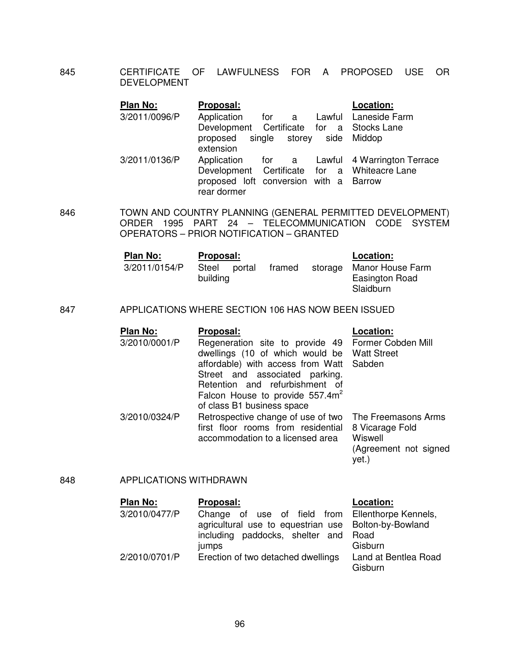845 CERTIFICATE OF LAWFULNESS FOR A PROPOSED USE OR DEVELOPMENT

| Plan No:      | Proposal:                                                                                                                                              | Location:            |
|---------------|--------------------------------------------------------------------------------------------------------------------------------------------------------|----------------------|
| 3/2011/0096/P | Application<br>for a                                                                                                                                   | Lawful Laneside Farm |
|               | Development Certificate for a Stocks Lane                                                                                                              |                      |
|               | proposed single storey side Middop<br>extension                                                                                                        |                      |
| 3/2011/0136/P | Application for a Lawful 4 Warrington Terrace<br>Development Certificate for a Whiteacre Lane<br>proposed loft conversion with a Barrow<br>rear dormer |                      |

846 TOWN AND COUNTRY PLANNING (GENERAL PERMITTED DEVELOPMENT) ORDER 1995 PART 24 – TELECOMMUNICATION CODE SYSTEM OPERATORS – PRIOR NOTIFICATION – GRANTED

| Plan No:      | <b>Proposal:</b>            |        | Location:                                               |
|---------------|-----------------------------|--------|---------------------------------------------------------|
| 3/2011/0154/P | Steel<br>portal<br>building | framed | storage Manor House Farm<br>Easington Road<br>Slaidburn |

#### 847 APPLICATIONS WHERE SECTION 106 HAS NOW BEEN ISSUED

| Plan No:      | Proposal:                                          | Location:             |
|---------------|----------------------------------------------------|-----------------------|
| 3/2010/0001/P | Regeneration site to provide 49 Former Cobden Mill |                       |
|               | dwellings (10 of which would be Watt Street        |                       |
|               | affordable) with access from Watt Sabden           |                       |
|               | Street and associated parking.                     |                       |
|               | Retention and refurbishment of                     |                       |
|               | Falcon House to provide 557.4m <sup>2</sup>        |                       |
|               | of class B1 business space                         |                       |
| 3/2010/0324/P | Retrospective change of use of two                 | The Freemasons Arms   |
|               | first floor rooms from residential                 | 8 Vicarage Fold       |
|               | accommodation to a licensed area                   | Wiswell               |
|               |                                                    | (Agreement not signed |
|               |                                                    | yet.)                 |

#### 848 APPLICATIONS WITHDRAWN

| Plan No:      | Proposal:                                            | Location:                       |
|---------------|------------------------------------------------------|---------------------------------|
| 3/2010/0477/P | Change of use of field from Ellenthorpe Kennels,     |                                 |
|               | agricultural use to equestrian use Bolton-by-Bowland |                                 |
|               | including paddocks, shelter and                      | Road                            |
|               | jumps                                                | Gisburn                         |
| 2/2010/0701/P | Erection of two detached dwellings                   | Land at Bentlea Road<br>Gisburn |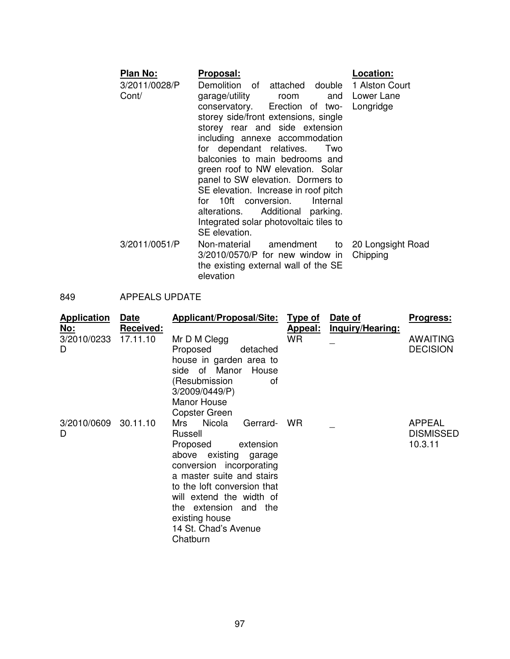| <b>Plan No:</b>        | Proposal:                                                                                                                                                                                                                                                                                                                                                | Location:                     |
|------------------------|----------------------------------------------------------------------------------------------------------------------------------------------------------------------------------------------------------------------------------------------------------------------------------------------------------------------------------------------------------|-------------------------------|
| 3/2011/0028/P<br>Cont/ | Demolition of attached double 1 Alston Court<br>garage/utility<br>room<br>conservatory. Erection of two-<br>storey side/front extensions, single<br>storey rear and side extension                                                                                                                                                                       | and Lower Lane<br>Longridge   |
|                        | including annexe accommodation<br>for dependant relatives.<br>Two<br>balconies to main bedrooms and<br>green roof to NW elevation. Solar<br>panel to SW elevation. Dormers to<br>SE elevation. Increase in roof pitch<br>for 10ft conversion.<br>Internal<br>alterations. Additional parking.<br>Integrated solar photovoltaic tiles to<br>SE elevation. |                               |
| 3/2011/0051/P          | Non-material amendment<br>to<br>$3/2010/0570/P$ for new window in<br>the existing external wall of the SE                                                                                                                                                                                                                                                | 20 Longsight Road<br>Chipping |

## 849 APPEALS UPDATE

| <b>Application</b> | <b>Date</b>      | <b>Applicant/Proposal/Site:</b> | <u>Type of</u> | Date of          | Progress:        |
|--------------------|------------------|---------------------------------|----------------|------------------|------------------|
| <u>No:</u>         | <b>Received:</b> |                                 | <b>Appeal:</b> | Inquiry/Hearing: |                  |
| 3/2010/0233        | 17.11.10         | Mr D M Clegg                    | WR             |                  | AWAITING         |
| D                  |                  | Proposed<br>detached            |                |                  | <b>DECISION</b>  |
|                    |                  | house in garden area to         |                |                  |                  |
|                    |                  | side of Manor<br>House          |                |                  |                  |
|                    |                  | (Resubmission<br>οf             |                |                  |                  |
|                    |                  | 3/2009/0449/P)                  |                |                  |                  |
|                    |                  | Manor House                     |                |                  |                  |
|                    |                  | <b>Copster Green</b>            |                |                  |                  |
| 3/2010/0609        | 30.11.10         | Nicola<br>Mrs<br>Gerrard-       | <b>WR</b>      |                  | <b>APPEAL</b>    |
| D                  |                  | Russell                         |                |                  | <b>DISMISSED</b> |
|                    |                  | Proposed<br>extension           |                |                  | 10.3.11          |
|                    |                  | above existing garage           |                |                  |                  |
|                    |                  | conversion incorporating        |                |                  |                  |
|                    |                  | a master suite and stairs       |                |                  |                  |
|                    |                  | to the loft conversion that     |                |                  |                  |
|                    |                  | will extend the width of        |                |                  |                  |
|                    |                  | the extension and the           |                |                  |                  |
|                    |                  | existing house                  |                |                  |                  |
|                    |                  | 14 St. Chad's Avenue            |                |                  |                  |
|                    |                  | Chatburn                        |                |                  |                  |

elevation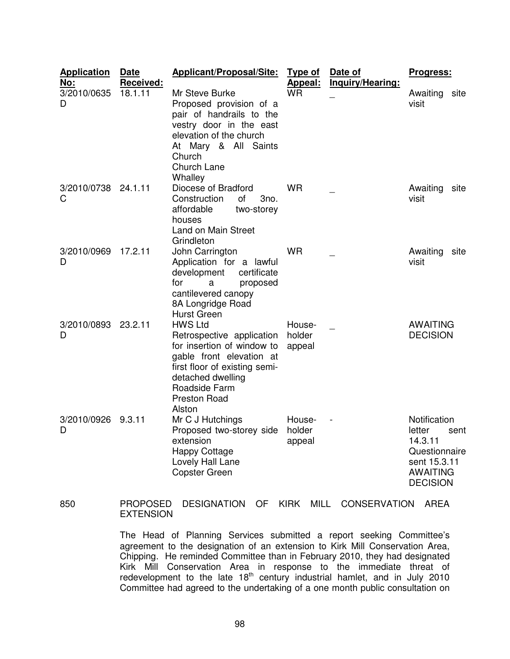| <b>Application</b><br>Date<br>No:<br>Received: |         | Applicant/Proposal/Site:                                                                                                                                                                                      | <b>Type of</b><br><u>Appeal:</u> | Date of<br>Inquiry/Hearing: | Progress:                                                                                                |      |
|------------------------------------------------|---------|---------------------------------------------------------------------------------------------------------------------------------------------------------------------------------------------------------------|----------------------------------|-----------------------------|----------------------------------------------------------------------------------------------------------|------|
| 3/2010/0635<br>D                               | 18.1.11 | Mr Steve Burke<br>Proposed provision of a<br>pair of handrails to the<br>vestry door in the east<br>elevation of the church<br>At Mary & All Saints<br>Church<br>Church Lane<br>Whalley                       | <b>WR</b>                        |                             | Awaiting<br>visit                                                                                        | site |
| 3/2010/0738 24.1.11<br>C                       |         | Diocese of Bradford<br>Construction<br>of<br>3no.<br>affordable<br>two-storey<br>houses<br>Land on Main Street<br>Grindleton                                                                                  | <b>WR</b>                        |                             | Awaiting<br>visit                                                                                        | site |
| 3/2010/0969<br>D                               | 17.2.11 | John Carrington<br>Application for a lawful<br>certificate<br>development<br>for<br>proposed<br>a<br>cantilevered canopy<br>8A Longridge Road<br><b>Hurst Green</b>                                           | <b>WR</b>                        |                             | Awaiting<br>visit                                                                                        | site |
| 3/2010/0893 23.2.11<br>D                       |         | <b>HWS Ltd</b><br>Retrospective application<br>for insertion of window to<br>gable front elevation at<br>first floor of existing semi-<br>detached dwelling<br>Roadside Farm<br><b>Preston Road</b><br>Alston | House-<br>holder<br>appeal       |                             | <b>AWAITING</b><br><b>DECISION</b>                                                                       |      |
| 3/2010/0926<br>D                               | 9.3.11  | Mr C J Hutchings<br>Proposed two-storey side<br>extension<br><b>Happy Cottage</b><br>Lovely Hall Lane<br><b>Copster Green</b>                                                                                 | House-<br>holder<br>appeal       |                             | Notification<br>letter<br>14.3.11<br>Questionnaire<br>sent 15.3.11<br><b>AWAITING</b><br><b>DECISION</b> | sent |

### 850 PROPOSED DESIGNATION OF KIRK MILL CONSERVATION AREA **EXTENSION**

The Head of Planning Services submitted a report seeking Committee's agreement to the designation of an extension to Kirk Mill Conservation Area, Chipping. He reminded Committee than in February 2010, they had designated Kirk Mill Conservation Area in response to the immediate threat of redevelopment to the late 18<sup>th</sup> century industrial hamlet, and in July 2010 Committee had agreed to the undertaking of a one month public consultation on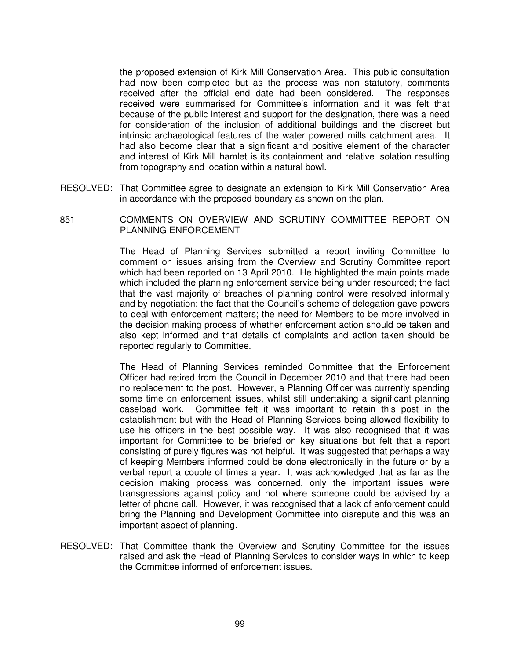the proposed extension of Kirk Mill Conservation Area. This public consultation had now been completed but as the process was non statutory, comments received after the official end date had been considered. The responses received were summarised for Committee's information and it was felt that because of the public interest and support for the designation, there was a need for consideration of the inclusion of additional buildings and the discreet but intrinsic archaeological features of the water powered mills catchment area. It had also become clear that a significant and positive element of the character and interest of Kirk Mill hamlet is its containment and relative isolation resulting from topography and location within a natural bowl.

- RESOLVED: That Committee agree to designate an extension to Kirk Mill Conservation Area in accordance with the proposed boundary as shown on the plan.
- 851 COMMENTS ON OVERVIEW AND SCRUTINY COMMITTEE REPORT ON PLANNING ENFORCEMENT

The Head of Planning Services submitted a report inviting Committee to comment on issues arising from the Overview and Scrutiny Committee report which had been reported on 13 April 2010. He highlighted the main points made which included the planning enforcement service being under resourced; the fact that the vast majority of breaches of planning control were resolved informally and by negotiation; the fact that the Council's scheme of delegation gave powers to deal with enforcement matters; the need for Members to be more involved in the decision making process of whether enforcement action should be taken and also kept informed and that details of complaints and action taken should be reported regularly to Committee.

The Head of Planning Services reminded Committee that the Enforcement Officer had retired from the Council in December 2010 and that there had been no replacement to the post. However, a Planning Officer was currently spending some time on enforcement issues, whilst still undertaking a significant planning caseload work. Committee felt it was important to retain this post in the establishment but with the Head of Planning Services being allowed flexibility to use his officers in the best possible way. It was also recognised that it was important for Committee to be briefed on key situations but felt that a report consisting of purely figures was not helpful. It was suggested that perhaps a way of keeping Members informed could be done electronically in the future or by a verbal report a couple of times a year. It was acknowledged that as far as the decision making process was concerned, only the important issues were transgressions against policy and not where someone could be advised by a letter of phone call. However, it was recognised that a lack of enforcement could bring the Planning and Development Committee into disrepute and this was an important aspect of planning.

RESOLVED: That Committee thank the Overview and Scrutiny Committee for the issues raised and ask the Head of Planning Services to consider ways in which to keep the Committee informed of enforcement issues.